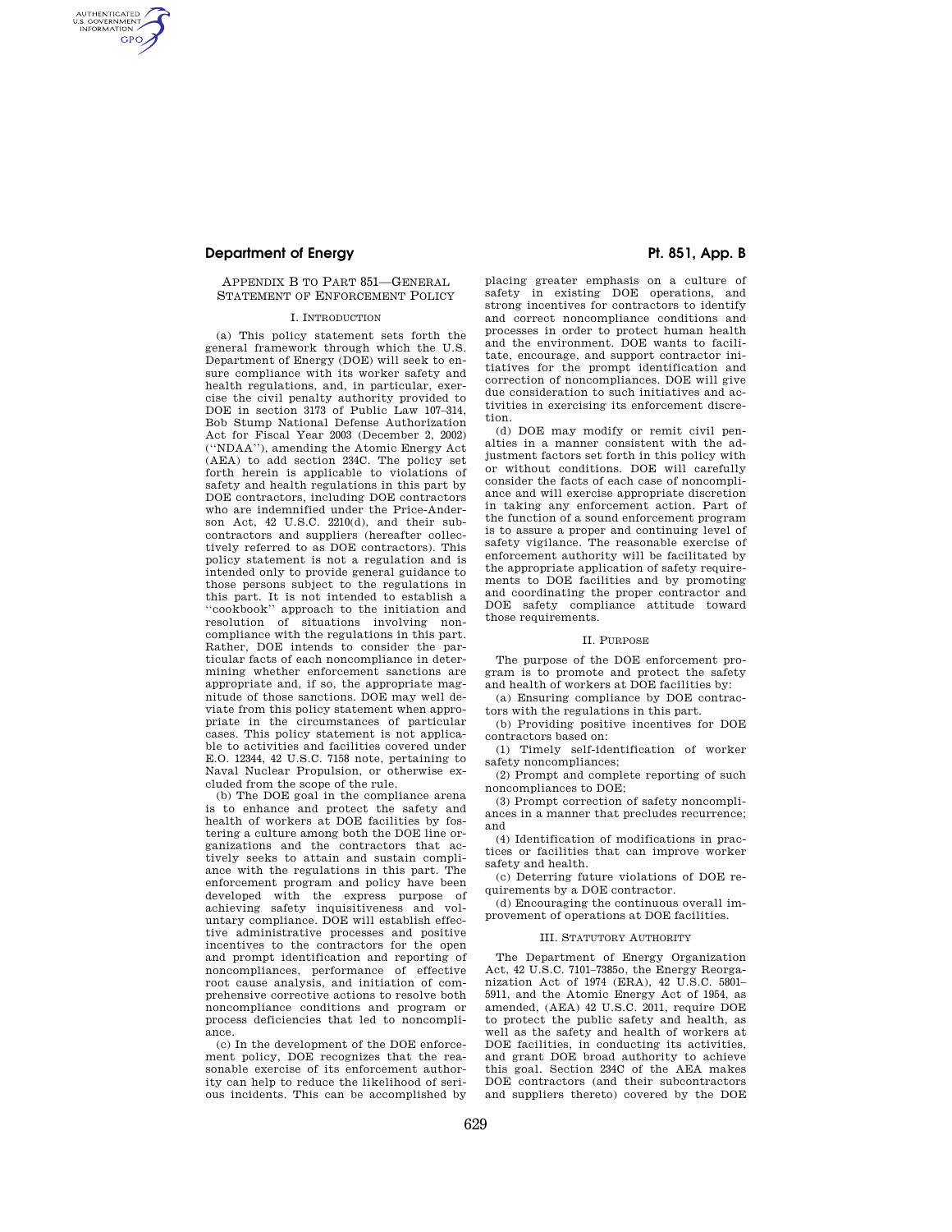AUTHENTICATED<br>U.S. GOVERNMENT<br>INFORMATION **GPO** 

# APPENDIX B TO PART 851—GENERAL STATEMENT OF ENFORCEMENT POLICY

#### I. INTRODUCTION

(a) This policy statement sets forth the general framework through which the U.S. Department of Energy (DOE) will seek to ensure compliance with its worker safety and health regulations, and, in particular, exercise the civil penalty authority provided to DOE in section 3173 of Public Law 107–314, Bob Stump National Defense Authorization Act for Fiscal Year 2003 (December 2, 2002) (''NDAA''), amending the Atomic Energy Act (AEA) to add section 234C. The policy set forth herein is applicable to violations of safety and health regulations in this part by DOE contractors, including DOE contractors who are indemnified under the Price-Anderson Act, 42 U.S.C. 2210(d), and their subcontractors and suppliers (hereafter collectively referred to as DOE contractors). This policy statement is not a regulation and is intended only to provide general guidance to those persons subject to the regulations in this part. It is not intended to establish a ''cookbook'' approach to the initiation and resolution of situations involving noncompliance with the regulations in this part. Rather, DOE intends to consider the particular facts of each noncompliance in determining whether enforcement sanctions are appropriate and, if so, the appropriate magnitude of those sanctions. DOE may well deviate from this policy statement when appropriate in the circumstances of particular cases. This policy statement is not applicable to activities and facilities covered under E.O. 12344, 42 U.S.C. 7158 note, pertaining to Naval Nuclear Propulsion, or otherwise excluded from the scope of the rule.

(b) The DOE goal in the compliance arena is to enhance and protect the safety and health of workers at DOE facilities by fostering a culture among both the DOE line organizations and the contractors that actively seeks to attain and sustain compliance with the regulations in this part. The enforcement program and policy have been developed with the express purpose of achieving safety inquisitiveness and voluntary compliance. DOE will establish effective administrative processes and positive incentives to the contractors for the open and prompt identification and reporting of noncompliances, performance of effective root cause analysis, and initiation of comprehensive corrective actions to resolve both noncompliance conditions and program or process deficiencies that led to noncompliance.

(c) In the development of the DOE enforcement policy, DOE recognizes that the reasonable exercise of its enforcement authority can help to reduce the likelihood of serious incidents. This can be accomplished by

placing greater emphasis on a culture of safety in existing DOE operations, and strong incentives for contractors to identify and correct noncompliance conditions and processes in order to protect human health and the environment. DOE wants to facilitate, encourage, and support contractor initiatives for the prompt identification and correction of noncompliances. DOE will give due consideration to such initiatives and activities in exercising its enforcement discretion.

(d) DOE may modify or remit civil penalties in a manner consistent with the adjustment factors set forth in this policy with or without conditions. DOE will carefully consider the facts of each case of noncompliance and will exercise appropriate discretion in taking any enforcement action. Part of the function of a sound enforcement program is to assure a proper and continuing level of safety vigilance. The reasonable exercise of enforcement authority will be facilitated by the appropriate application of safety requirements to DOE facilities and by promoting and coordinating the proper contractor and DOE safety compliance attitude toward those requirements.

### II. PURPOSE

The purpose of the DOE enforcement program is to promote and protect the safety and health of workers at DOE facilities by:

(a) Ensuring compliance by DOE contractors with the regulations in this part.

(b) Providing positive incentives for DOE contractors based on:

(1) Timely self-identification of worker safety noncompliances;

(2) Prompt and complete reporting of such noncompliances to DOE;

(3) Prompt correction of safety noncompliances in a manner that precludes recurrence; and

(4) Identification of modifications in practices or facilities that can improve worker safety and health.

(c) Deterring future violations of DOE requirements by a DOE contractor.

(d) Encouraging the continuous overall improvement of operations at DOE facilities.

#### III. STATUTORY AUTHORITY

The Department of Energy Organization Act, 42 U.S.C. 7101–7385o, the Energy Reorganization Act of 1974 (ERA), 42 U.S.C. 5801– 5911, and the Atomic Energy Act of 1954, as amended, (AEA) 42 U.S.C. 2011, require DOE to protect the public safety and health, as well as the safety and health of workers at DOE facilities, in conducting its activities, and grant DOE broad authority to achieve this goal. Section 234C of the AEA makes DOE contractors (and their subcontractors and suppliers thereto) covered by the DOE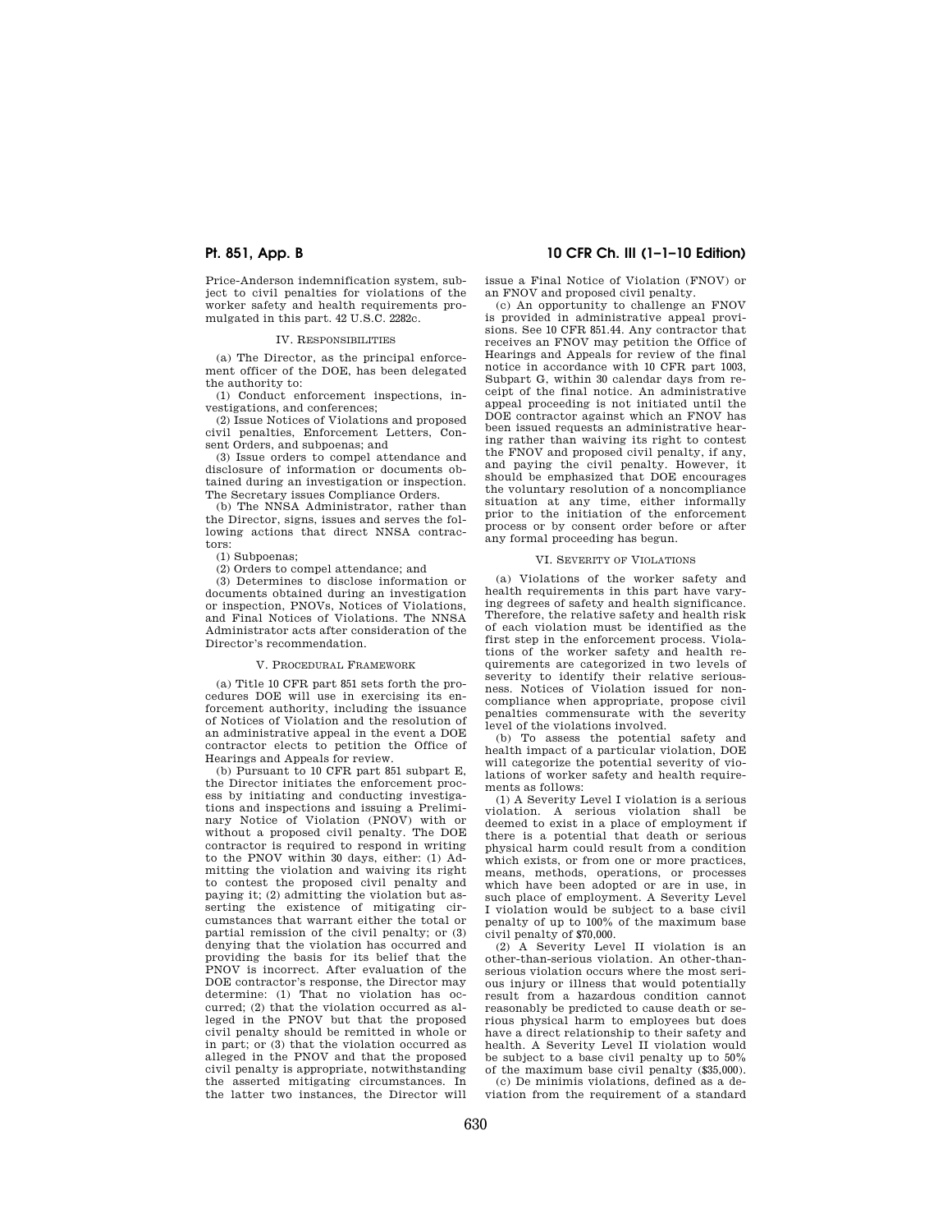Price-Anderson indemnification system, subject to civil penalties for violations of the worker safety and health requirements promulgated in this part. 42 U.S.C. 2282c.

## IV. RESPONSIBILITIES

(a) The Director, as the principal enforcement officer of the DOE, has been delegated the authority to:

(1) Conduct enforcement inspections, investigations, and conferences;

(2) Issue Notices of Violations and proposed civil penalties, Enforcement Letters, Consent Orders, and subpoenas; and

(3) Issue orders to compel attendance and disclosure of information or documents obtained during an investigation or inspection. The Secretary issues Compliance Orders.

(b) The NNSA Administrator, rather than the Director, signs, issues and serves the following actions that direct NNSA contractors:

(1) Subpoenas;

(2) Orders to compel attendance; and

(3) Determines to disclose information or documents obtained during an investigation or inspection, PNOVs, Notices of Violations, and Final Notices of Violations. The NNSA Administrator acts after consideration of the Director's recommendation.

## V. PROCEDURAL FRAMEWORK

(a) Title 10 CFR part 851 sets forth the procedures DOE will use in exercising its enforcement authority, including the issuance of Notices of Violation and the resolution of an administrative appeal in the event a DOE contractor elects to petition the Office of Hearings and Appeals for review.

(b) Pursuant to 10 CFR part 851 subpart E, the Director initiates the enforcement process by initiating and conducting investigations and inspections and issuing a Preliminary Notice of Violation (PNOV) with or without a proposed civil penalty. The DOE contractor is required to respond in writing to the PNOV within 30 days, either: (1) Admitting the violation and waiving its right to contest the proposed civil penalty and paying it; (2) admitting the violation but asserting the existence of mitigating circumstances that warrant either the total or partial remission of the civil penalty; or (3) denying that the violation has occurred and providing the basis for its belief that the PNOV is incorrect. After evaluation of the DOE contractor's response, the Director may determine: (1) That no violation has occurred; (2) that the violation occurred as alleged in the PNOV but that the proposed civil penalty should be remitted in whole or in part; or (3) that the violation occurred as alleged in the PNOV and that the proposed civil penalty is appropriate, notwithstanding the asserted mitigating circumstances. In the latter two instances, the Director will

# **Pt. 851, App. B 10 CFR Ch. III (1–1–10 Edition)**

issue a Final Notice of Violation (FNOV) or an FNOV and proposed civil penalty.

(c) An opportunity to challenge an FNOV is provided in administrative appeal provisions. See 10 CFR 851.44. Any contractor that receives an FNOV may petition the Office of Hearings and Appeals for review of the final notice in accordance with 10 CFR part 1003, Subpart G, within 30 calendar days from receipt of the final notice. An administrative appeal proceeding is not initiated until the DOE contractor against which an FNOV has been issued requests an administrative hearing rather than waiving its right to contest the FNOV and proposed civil penalty, if any, and paying the civil penalty. However, it should be emphasized that DOE encourages the voluntary resolution of a noncompliance situation at any time, either informally prior to the initiation of the enforcement process or by consent order before or after any formal proceeding has begun.

## VI. SEVERITY OF VIOLATIONS

(a) Violations of the worker safety and health requirements in this part have varying degrees of safety and health significance. Therefore, the relative safety and health risk of each violation must be identified as the first step in the enforcement process. Violations of the worker safety and health requirements are categorized in two levels of severity to identify their relative seriousness. Notices of Violation issued for noncompliance when appropriate, propose civil penalties commensurate with the severity level of the violations involved.

(b) To assess the potential safety and health impact of a particular violation, DOE will categorize the potential severity of violations of worker safety and health requirements as follows:

(1) A Severity Level I violation is a serious violation. A serious violation shall be deemed to exist in a place of employment if there is a potential that death or serious physical harm could result from a condition which exists, or from one or more practices, means, methods, operations, or processes which have been adopted or are in use, in such place of employment. A Severity Level I violation would be subject to a base civil penalty of up to 100% of the maximum base civil penalty of \$70,000.

(2) A Severity Level II violation is an other-than-serious violation. An other-thanserious violation occurs where the most serious injury or illness that would potentially result from a hazardous condition cannot reasonably be predicted to cause death or serious physical harm to employees but does have a direct relationship to their safety and health. A Severity Level II violation would be subject to a base civil penalty up to 50% of the maximum base civil penalty (\$35,000).

(c) De minimis violations, defined as a deviation from the requirement of a standard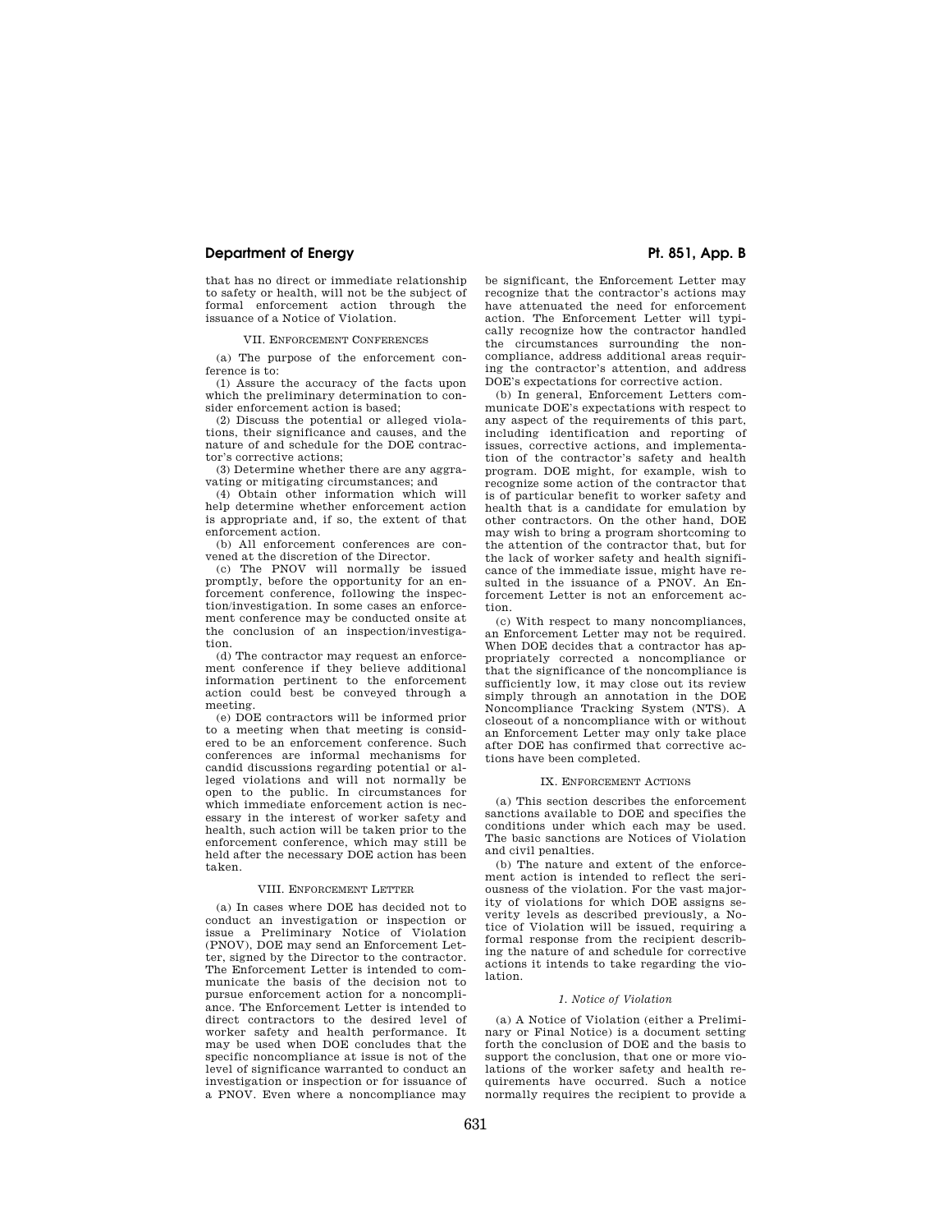that has no direct or immediate relationship to safety or health, will not be the subject of formal enforcement action through the issuance of a Notice of Violation.

### VII. ENFORCEMENT CONFERENCES

(a) The purpose of the enforcement conference is to:

(1) Assure the accuracy of the facts upon which the preliminary determination to consider enforcement action is based;

(2) Discuss the potential or alleged violations, their significance and causes, and the nature of and schedule for the DOE contractor's corrective actions;

(3) Determine whether there are any aggravating or mitigating circumstances; and

(4) Obtain other information which will help determine whether enforcement action is appropriate and, if so, the extent of that enforcement action.

(b) All enforcement conferences are convened at the discretion of the Director.

(c) The PNOV will normally be issued promptly, before the opportunity for an enforcement conference, following the inspection/investigation. In some cases an enforcement conference may be conducted onsite at the conclusion of an inspection/investigation.

(d) The contractor may request an enforcement conference if they believe additional information pertinent to the enforcement action could best be conveyed through a meeting.

(e) DOE contractors will be informed prior to a meeting when that meeting is considered to be an enforcement conference. Such conferences are informal mechanisms for candid discussions regarding potential or alleged violations and will not normally be open to the public. In circumstances for which immediate enforcement action is necessary in the interest of worker safety and health, such action will be taken prior to the enforcement conference, which may still be held after the necessary DOE action has been taken.

#### VIII. ENFORCEMENT LETTER

(a) In cases where DOE has decided not to conduct an investigation or inspection or issue a Preliminary Notice of Violation (PNOV), DOE may send an Enforcement Letter, signed by the Director to the contractor. The Enforcement Letter is intended to communicate the basis of the decision not to pursue enforcement action for a noncompliance. The Enforcement Letter is intended to direct contractors to the desired level of worker safety and health performance. It may be used when DOE concludes that the specific noncompliance at issue is not of the level of significance warranted to conduct an investigation or inspection or for issuance of a PNOV. Even where a noncompliance may

be significant, the Enforcement Letter may recognize that the contractor's actions may have attenuated the need for enforcement action. The Enforcement Letter will typically recognize how the contractor handled the circumstances surrounding the noncompliance, address additional areas requiring the contractor's attention, and address DOE's expectations for corrective action.

(b) In general, Enforcement Letters communicate DOE's expectations with respect to any aspect of the requirements of this part, including identification and reporting of issues, corrective actions, and implementation of the contractor's safety and health program. DOE might, for example, wish to recognize some action of the contractor that is of particular benefit to worker safety and health that is a candidate for emulation by other contractors. On the other hand, DOE may wish to bring a program shortcoming to the attention of the contractor that, but for the lack of worker safety and health significance of the immediate issue, might have resulted in the issuance of a PNOV. An Enforcement Letter is not an enforcement action.

(c) With respect to many noncompliances, an Enforcement Letter may not be required. When DOE decides that a contractor has appropriately corrected a noncompliance or that the significance of the noncompliance is sufficiently low, it may close out its review simply through an annotation in the DOE Noncompliance Tracking System (NTS). A closeout of a noncompliance with or without an Enforcement Letter may only take place after DOE has confirmed that corrective actions have been completed.

## IX. ENFORCEMENT ACTIONS

(a) This section describes the enforcement sanctions available to DOE and specifies the conditions under which each may be used. The basic sanctions are Notices of Violation and civil penalties.

(b) The nature and extent of the enforcement action is intended to reflect the seriousness of the violation. For the vast majority of violations for which DOE assigns severity levels as described previously, a Notice of Violation will be issued, requiring a formal response from the recipient describing the nature of and schedule for corrective actions it intends to take regarding the violation.

### *1. Notice of Violation*

(a) A Notice of Violation (either a Preliminary or Final Notice) is a document setting forth the conclusion of DOE and the basis to support the conclusion, that one or more violations of the worker safety and health requirements have occurred. Such a notice normally requires the recipient to provide a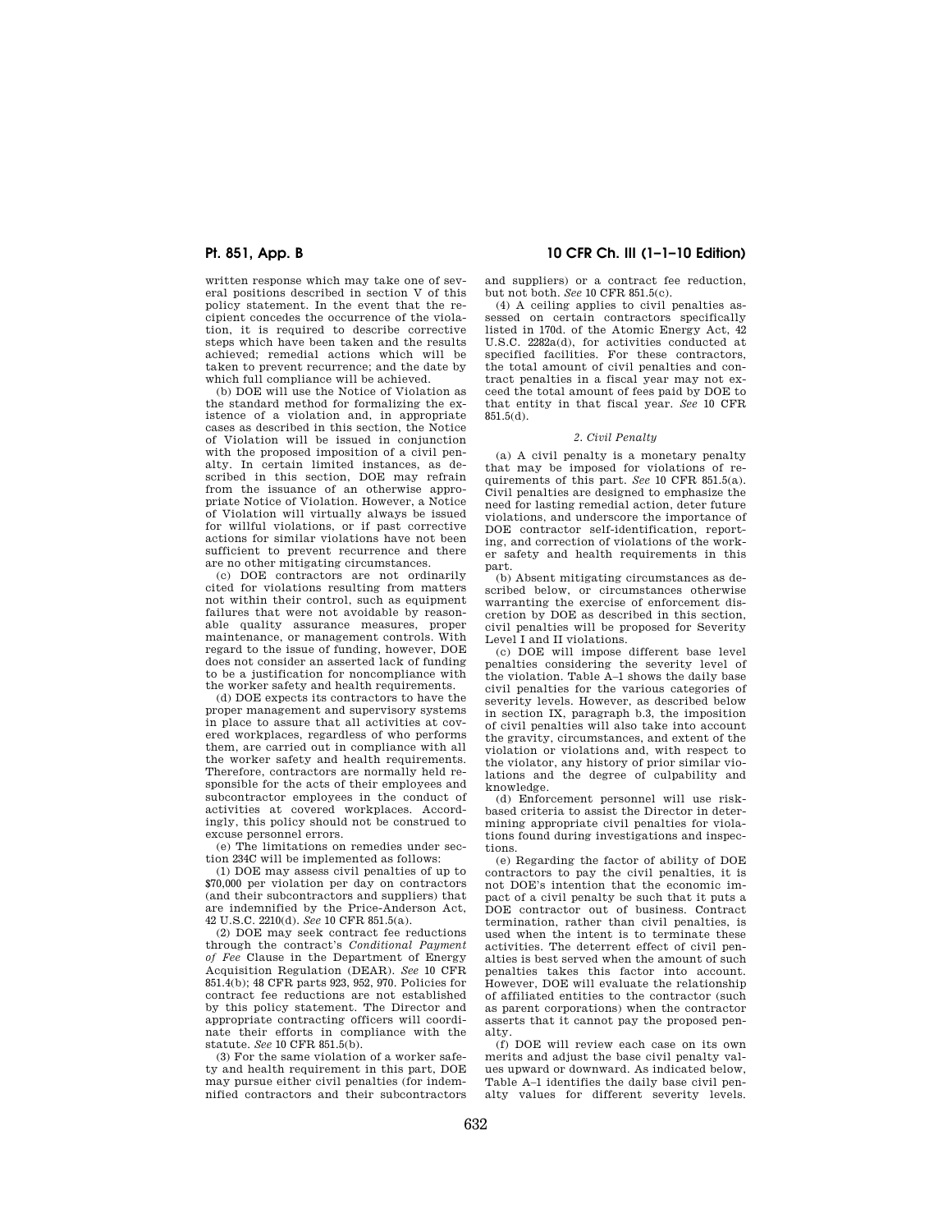written response which may take one of several positions described in section V of this policy statement. In the event that the recipient concedes the occurrence of the violation, it is required to describe corrective steps which have been taken and the results achieved; remedial actions which will be taken to prevent recurrence; and the date by which full compliance will be achieved.

(b) DOE will use the Notice of Violation as the standard method for formalizing the existence of a violation and, in appropriate cases as described in this section, the Notice of Violation will be issued in conjunction with the proposed imposition of a civil penalty. In certain limited instances, as described in this section, DOE may refrain from the issuance of an otherwise appropriate Notice of Violation. However, a Notice of Violation will virtually always be issued for willful violations, or if past corrective actions for similar violations have not been sufficient to prevent recurrence and there are no other mitigating circumstances.

(c) DOE contractors are not ordinarily cited for violations resulting from matters not within their control, such as equipment failures that were not avoidable by reasonable quality assurance measures, proper maintenance, or management controls. With regard to the issue of funding, however, DOE does not consider an asserted lack of funding to be a justification for noncompliance with the worker safety and health requirements.

(d) DOE expects its contractors to have the proper management and supervisory systems in place to assure that all activities at covered workplaces, regardless of who performs them, are carried out in compliance with all the worker safety and health requirements. Therefore, contractors are normally held responsible for the acts of their employees and subcontractor employees in the conduct of activities at covered workplaces. Accordingly, this policy should not be construed to excuse personnel errors.

(e) The limitations on remedies under section 234C will be implemented as follows:

(1) DOE may assess civil penalties of up to \$70,000 per violation per day on contractors (and their subcontractors and suppliers) that are indemnified by the Price-Anderson Act, 42 U.S.C. 2210(d). *See* 10 CFR 851.5(a).

(2) DOE may seek contract fee reductions through the contract's *Conditional Payment of Fee* Clause in the Department of Energy Acquisition Regulation (DEAR). *See* 10 CFR 851.4(b); 48 CFR parts 923, 952, 970. Policies for contract fee reductions are not established by this policy statement. The Director and appropriate contracting officers will coordinate their efforts in compliance with the statute. *See* 10 CFR 851.5(b).

(3) For the same violation of a worker safety and health requirement in this part, DOE may pursue either civil penalties (for indemnified contractors and their subcontractors

# **Pt. 851, App. B 10 CFR Ch. III (1–1–10 Edition)**

and suppliers) or a contract fee reduction, but not both. *See* 10 CFR 851.5(c).

(4) A ceiling applies to civil penalties assessed on certain contractors specifically listed in 170d. of the Atomic Energy Act, 42 U.S.C. 2282a(d), for activities conducted at specified facilities. For these contractors, the total amount of civil penalties and contract penalties in a fiscal year may not exceed the total amount of fees paid by DOE to that entity in that fiscal year. *See* 10 CFR 851.5(d).

#### *2. Civil Penalty*

(a) A civil penalty is a monetary penalty that may be imposed for violations of requirements of this part. *See* 10 CFR 851.5(a). Civil penalties are designed to emphasize the need for lasting remedial action, deter future violations, and underscore the importance of DOE contractor self-identification, reporting, and correction of violations of the worker safety and health requirements in this part.

(b) Absent mitigating circumstances as described below, or circumstances otherwise warranting the exercise of enforcement discretion by DOE as described in this section, civil penalties will be proposed for Severity Level I and II violations.

(c) DOE will impose different base level penalties considering the severity level of the violation. Table A–1 shows the daily base civil penalties for the various categories of severity levels. However, as described below in section IX, paragraph b.3, the imposition of civil penalties will also take into account the gravity, circumstances, and extent of the violation or violations and, with respect to the violator, any history of prior similar violations and the degree of culpability and knowledge.

(d) Enforcement personnel will use riskbased criteria to assist the Director in determining appropriate civil penalties for violations found during investigations and inspections.

(e) Regarding the factor of ability of DOE contractors to pay the civil penalties, it is not DOE's intention that the economic impact of a civil penalty be such that it puts a DOE contractor out of business. Contract termination, rather than civil penalties, is used when the intent is to terminate these activities. The deterrent effect of civil penalties is best served when the amount of such penalties takes this factor into account. However, DOE will evaluate the relationship of affiliated entities to the contractor (such as parent corporations) when the contractor asserts that it cannot pay the proposed penalty.

(f) DOE will review each case on its own merits and adjust the base civil penalty values upward or downward. As indicated below, Table A–1 identifies the daily base civil penalty values for different severity levels.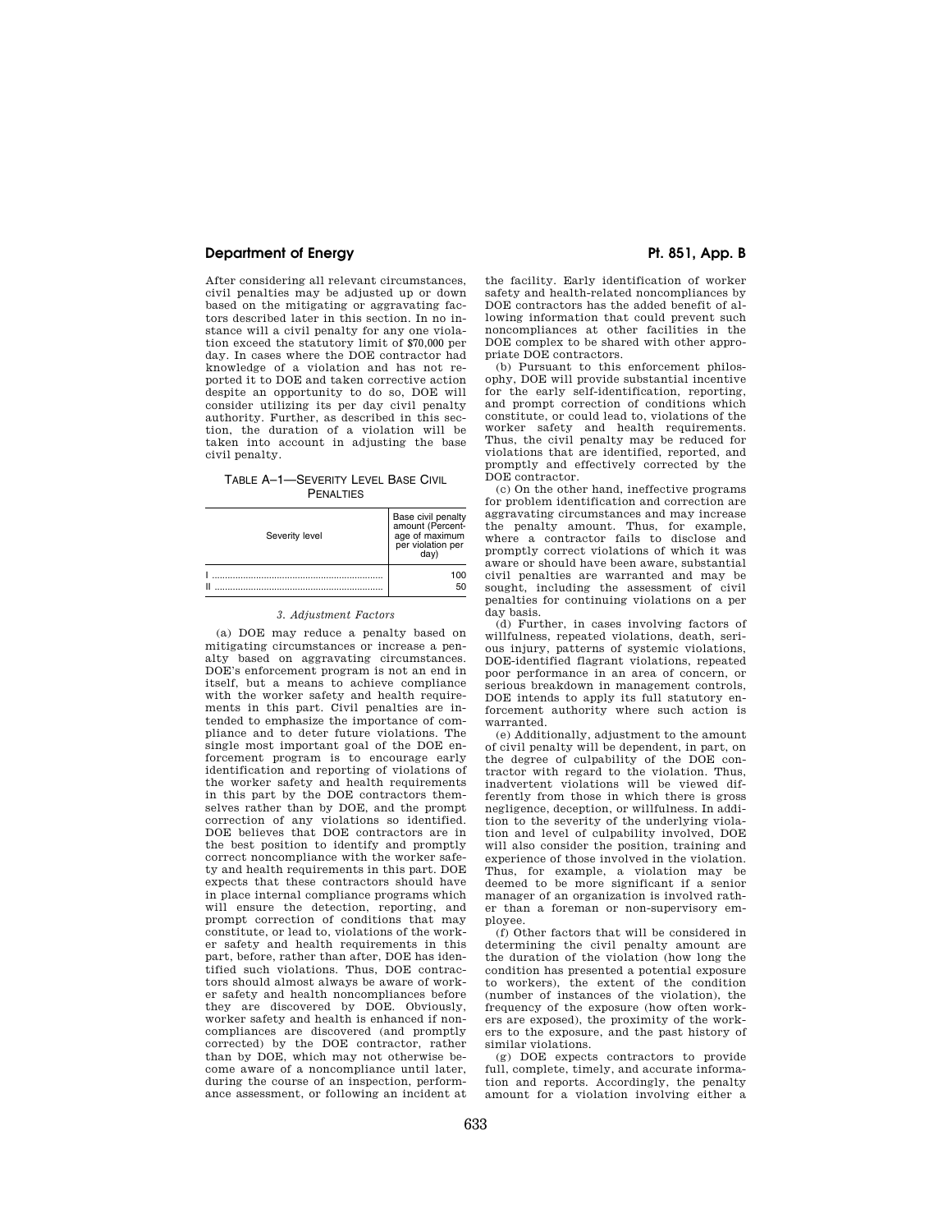After considering all relevant circumstances, civil penalties may be adjusted up or down based on the mitigating or aggravating factors described later in this section. In no instance will a civil penalty for any one violation exceed the statutory limit of \$70,000 per day. In cases where the DOE contractor had knowledge of a violation and has not reported it to DOE and taken corrective action despite an opportunity to do so, DOE will consider utilizing its per day civil penalty authority. Further, as described in this section, the duration of a violation will be taken into account in adjusting the base civil penalty.

TABLE A–1—SEVERITY LEVEL BASE CIVIL **PENALTIES** 

| Severity level | Base civil penalty<br>amount (Percent-<br>age of maximum<br>per violation per<br>dav) |
|----------------|---------------------------------------------------------------------------------------|
| П              | 100<br>50                                                                             |

### *3. Adjustment Factors*

(a) DOE may reduce a penalty based on mitigating circumstances or increase a penalty based on aggravating circumstances. DOE's enforcement program is not an end in itself, but a means to achieve compliance with the worker safety and health requirements in this part. Civil penalties are intended to emphasize the importance of compliance and to deter future violations. The single most important goal of the DOE enforcement program is to encourage early identification and reporting of violations of the worker safety and health requirements in this part by the DOE contractors themselves rather than by DOE, and the prompt correction of any violations so identified. DOE believes that DOE contractors are in the best position to identify and promptly correct noncompliance with the worker safety and health requirements in this part. DOE expects that these contractors should have in place internal compliance programs which will ensure the detection, reporting, and prompt correction of conditions that may constitute, or lead to, violations of the worker safety and health requirements in this part, before, rather than after, DOE has identified such violations. Thus, DOE contractors should almost always be aware of worker safety and health noncompliances before they are discovered by DOE. Obviously, worker safety and health is enhanced if noncompliances are discovered (and promptly corrected) by the DOE contractor, rather than by DOE, which may not otherwise become aware of a noncompliance until later, during the course of an inspection, performance assessment, or following an incident at

the facility. Early identification of worker safety and health-related noncompliances by DOE contractors has the added benefit of allowing information that could prevent such noncompliances at other facilities in the DOE complex to be shared with other appropriate DOE contractors.

(b) Pursuant to this enforcement philosophy, DOE will provide substantial incentive for the early self-identification, reporting, and prompt correction of conditions which constitute, or could lead to, violations of the worker safety and health requirements. Thus, the civil penalty may be reduced for violations that are identified, reported, and promptly and effectively corrected by the DOE contractor.

(c) On the other hand, ineffective programs for problem identification and correction are aggravating circumstances and may increase the penalty amount. Thus, for example, where a contractor fails to disclose and promptly correct violations of which it was aware or should have been aware, substantial civil penalties are warranted and may be sought, including the assessment of civil penalties for continuing violations on a per day basis.

(d) Further, in cases involving factors of willfulness, repeated violations, death, serious injury, patterns of systemic violations, DOE-identified flagrant violations, repeated poor performance in an area of concern, or serious breakdown in management controls, DOE intends to apply its full statutory enforcement authority where such action is warranted.

(e) Additionally, adjustment to the amount of civil penalty will be dependent, in part, on the degree of culpability of the DOE contractor with regard to the violation. Thus, inadvertent violations will be viewed differently from those in which there is gross negligence, deception, or willfulness. In addition to the severity of the underlying violation and level of culpability involved, DOE will also consider the position, training and experience of those involved in the violation. Thus, for example, a violation may be deemed to be more significant if a senior manager of an organization is involved rather than a foreman or non-supervisory employee.

(f) Other factors that will be considered in determining the civil penalty amount are the duration of the violation (how long the condition has presented a potential exposure to workers), the extent of the condition (number of instances of the violation), the frequency of the exposure (how often workers are exposed), the proximity of the workers to the exposure, and the past history of similar violations.

(g) DOE expects contractors to provide full, complete, timely, and accurate information and reports. Accordingly, the penalty amount for a violation involving either a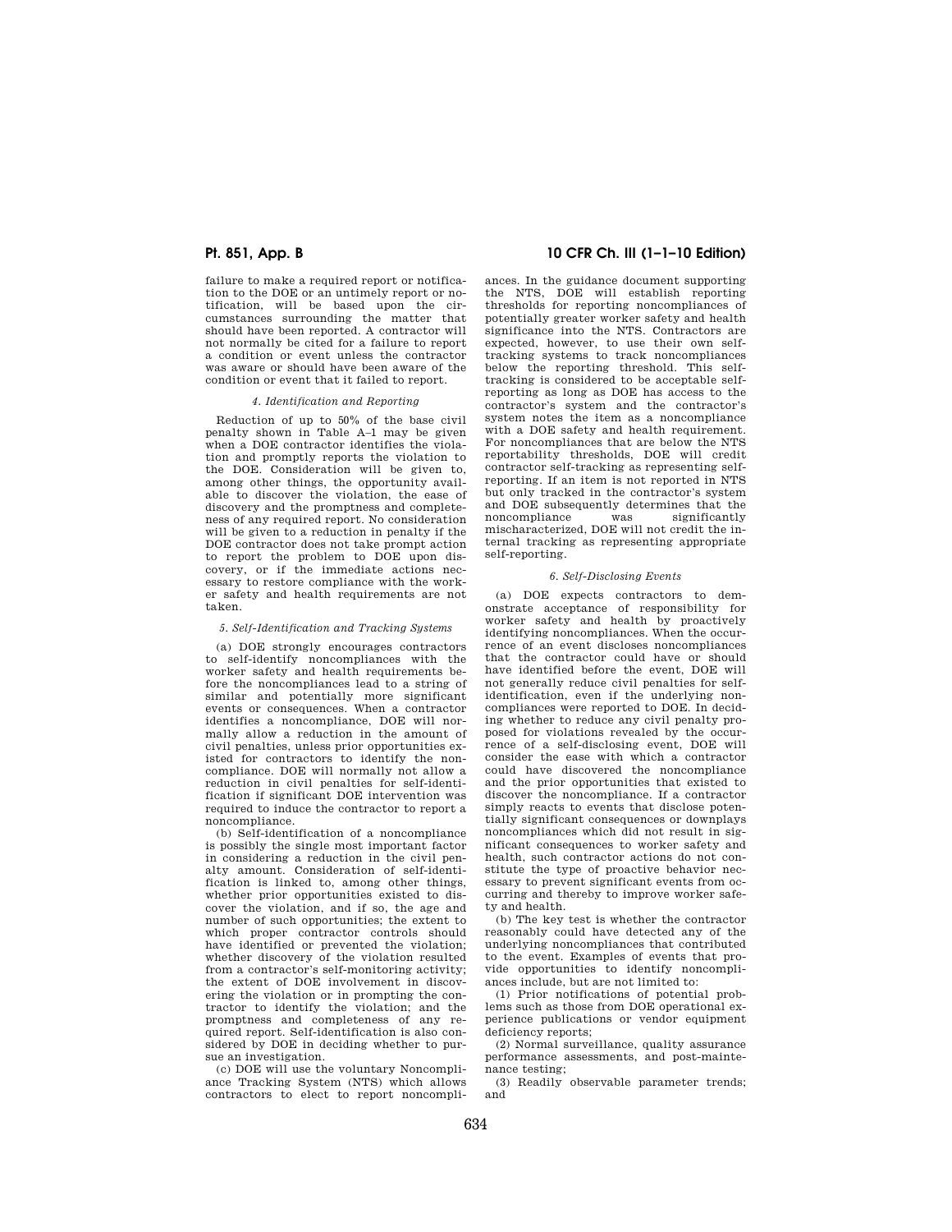failure to make a required report or notification to the DOE or an untimely report or notification, will be based upon the circumstances surrounding the matter that should have been reported. A contractor will not normally be cited for a failure to report a condition or event unless the contractor was aware or should have been aware of the condition or event that it failed to report.

### *4. Identification and Reporting*

Reduction of up to 50% of the base civil penalty shown in Table A–1 may be given when a DOE contractor identifies the violation and promptly reports the violation to the DOE. Consideration will be given to, among other things, the opportunity available to discover the violation, the ease of discovery and the promptness and completeness of any required report. No consideration will be given to a reduction in penalty if the DOE contractor does not take prompt action to report the problem to DOE upon discovery, or if the immediate actions necessary to restore compliance with the worker safety and health requirements are not taken.

#### *5. Self-Identification and Tracking Systems*

(a) DOE strongly encourages contractors to self-identify noncompliances with the worker safety and health requirements before the noncompliances lead to a string of similar and potentially more significant events or consequences. When a contractor identifies a noncompliance, DOE will normally allow a reduction in the amount of civil penalties, unless prior opportunities existed for contractors to identify the noncompliance. DOE will normally not allow a reduction in civil penalties for self-identification if significant DOE intervention was required to induce the contractor to report a noncompliance.

(b) Self-identification of a noncompliance is possibly the single most important factor in considering a reduction in the civil penalty amount. Consideration of self-identification is linked to, among other things, whether prior opportunities existed to discover the violation, and if so, the age and number of such opportunities; the extent to which proper contractor controls should have identified or prevented the violation; whether discovery of the violation resulted from a contractor's self-monitoring activity; the extent of DOE involvement in discovering the violation or in prompting the contractor to identify the violation; and the promptness and completeness of any required report. Self-identification is also considered by DOE in deciding whether to pursue an investigation.

(c) DOE will use the voluntary Noncompliance Tracking System (NTS) which allows contractors to elect to report noncompli-

# **Pt. 851, App. B 10 CFR Ch. III (1–1–10 Edition)**

ances. In the guidance document supporting the NTS, DOE will establish reporting thresholds for reporting noncompliances of potentially greater worker safety and health significance into the NTS. Contractors are expected, however, to use their own selftracking systems to track noncompliances below the reporting threshold. This selftracking is considered to be acceptable selfreporting as long as DOE has access to the contractor's system and the contractor's system notes the item as a noncompliance with a DOE safety and health requirement. For noncompliances that are below the NTS reportability thresholds, DOE will credit contractor self-tracking as representing selfreporting. If an item is not reported in NTS but only tracked in the contractor's system and DOE subsequently determines that the noncompliance was significantly mischaracterized, DOE will not credit the internal tracking as representing appropriate self-reporting.

#### *6. Self-Disclosing Events*

(a) DOE expects contractors to demonstrate acceptance of responsibility for worker safety and health by proactively identifying noncompliances. When the occurrence of an event discloses noncompliances that the contractor could have or should have identified before the event, DOE will not generally reduce civil penalties for selfidentification, even if the underlying noncompliances were reported to DOE. In deciding whether to reduce any civil penalty proposed for violations revealed by the occurrence of a self-disclosing event, DOE will consider the ease with which a contractor could have discovered the noncompliance and the prior opportunities that existed to discover the noncompliance. If a contractor simply reacts to events that disclose potentially significant consequences or downplays noncompliances which did not result in significant consequences to worker safety and health, such contractor actions do not constitute the type of proactive behavior necessary to prevent significant events from occurring and thereby to improve worker safety and health.

(b) The key test is whether the contractor reasonably could have detected any of the underlying noncompliances that contributed to the event. Examples of events that provide opportunities to identify noncompliances include, but are not limited to:

(1) Prior notifications of potential problems such as those from DOE operational experience publications or vendor equipment deficiency reports;

(2) Normal surveillance, quality assurance performance assessments, and post-maintenance testing;

(3) Readily observable parameter trends; and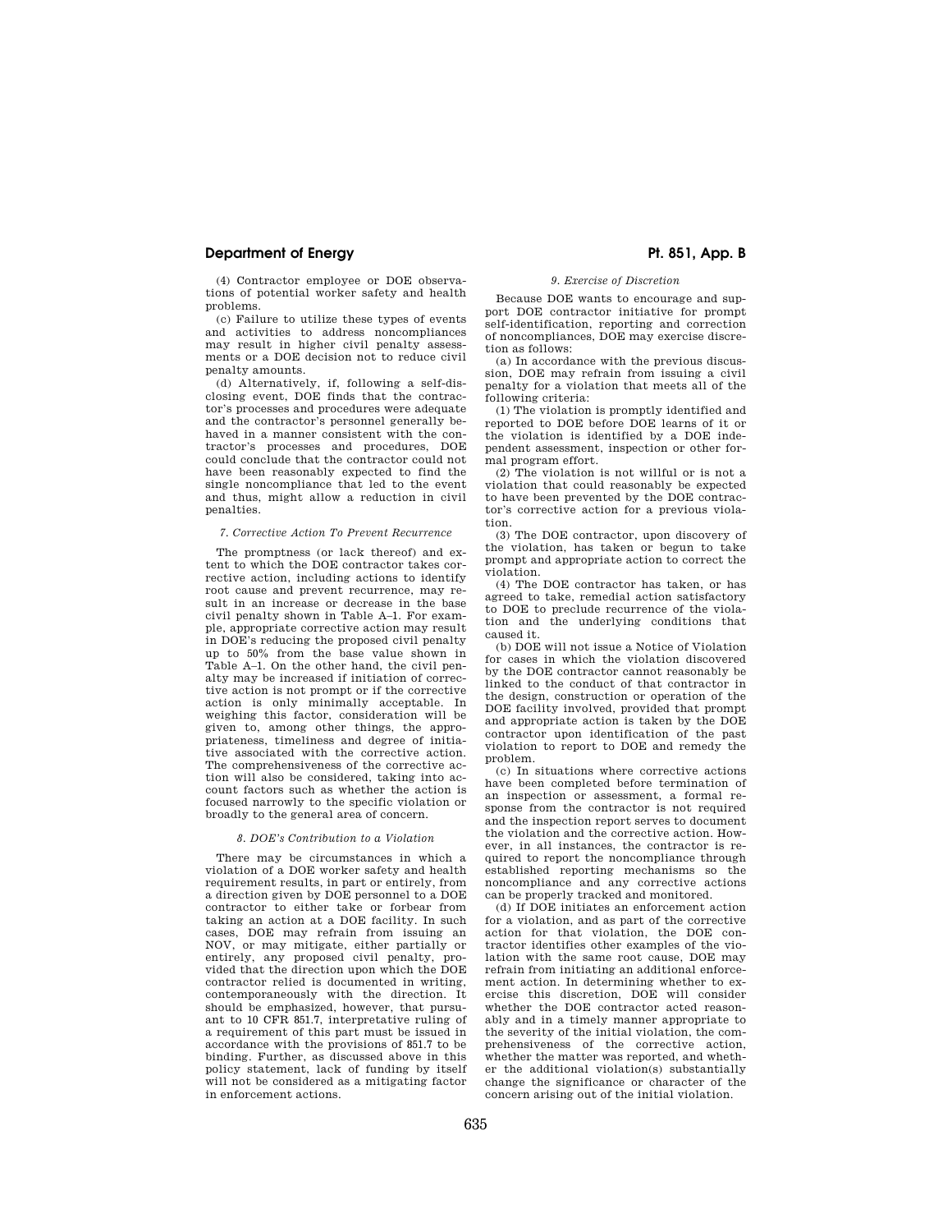(4) Contractor employee or DOE observations of potential worker safety and health problems.

(c) Failure to utilize these types of events and activities to address noncompliances may result in higher civil penalty assessments or a DOE decision not to reduce civil penalty amounts.

(d) Alternatively, if, following a self-disclosing event, DOE finds that the contractor's processes and procedures were adequate and the contractor's personnel generally behaved in a manner consistent with the contractor's processes and procedures, DOE could conclude that the contractor could not have been reasonably expected to find the single noncompliance that led to the event and thus, might allow a reduction in civil penalties.

### *7. Corrective Action To Prevent Recurrence*

The promptness (or lack thereof) and extent to which the DOE contractor takes corrective action, including actions to identify root cause and prevent recurrence, may result in an increase or decrease in the base civil penalty shown in Table A–1. For example, appropriate corrective action may result in DOE's reducing the proposed civil penalty up to 50% from the base value shown in Table A–1. On the other hand, the civil penalty may be increased if initiation of corrective action is not prompt or if the corrective action is only minimally acceptable. In weighing this factor, consideration will be given to, among other things, the appropriateness, timeliness and degree of initiative associated with the corrective action. The comprehensiveness of the corrective action will also be considered, taking into account factors such as whether the action is focused narrowly to the specific violation or broadly to the general area of concern.

## *8. DOE's Contribution to a Violation*

There may be circumstances in which a violation of a DOE worker safety and health requirement results, in part or entirely, from a direction given by DOE personnel to a DOE contractor to either take or forbear from taking an action at a DOE facility. In such cases, DOE may refrain from issuing an NOV, or may mitigate, either partially or entirely, any proposed civil penalty, provided that the direction upon which the DOE contractor relied is documented in writing, contemporaneously with the direction. It should be emphasized, however, that pursuant to 10 CFR 851.7, interpretative ruling of a requirement of this part must be issued in accordance with the provisions of 851.7 to be binding. Further, as discussed above in this policy statement, lack of funding by itself will not be considered as a mitigating factor in enforcement actions.

# *9. Exercise of Discretion*

Because DOE wants to encourage and support DOE contractor initiative for prompt self-identification, reporting and correction of noncompliances, DOE may exercise discretion as follows:

(a) In accordance with the previous discussion, DOE may refrain from issuing a civil penalty for a violation that meets all of the following criteria:

(1) The violation is promptly identified and reported to DOE before DOE learns of it or the violation is identified by a DOE independent assessment, inspection or other formal program effort.

(2) The violation is not willful or is not a violation that could reasonably be expected to have been prevented by the DOE contractor's corrective action for a previous violation.

(3) The DOE contractor, upon discovery of the violation, has taken or begun to take prompt and appropriate action to correct the violation.

(4) The DOE contractor has taken, or has agreed to take, remedial action satisfactory to DOE to preclude recurrence of the violation and the underlying conditions that caused it.

(b) DOE will not issue a Notice of Violation for cases in which the violation discovered by the DOE contractor cannot reasonably be linked to the conduct of that contractor in the design, construction or operation of the DOE facility involved, provided that prompt and appropriate action is taken by the DOE contractor upon identification of the past violation to report to DOE and remedy the problem.

(c) In situations where corrective actions have been completed before termination of an inspection or assessment, a formal response from the contractor is not required and the inspection report serves to document the violation and the corrective action. However, in all instances, the contractor is required to report the noncompliance through established reporting mechanisms so the noncompliance and any corrective actions can be properly tracked and monitored.

(d) If DOE initiates an enforcement action for a violation, and as part of the corrective action for that violation, the DOE contractor identifies other examples of the violation with the same root cause, DOE may refrain from initiating an additional enforcement action. In determining whether to exercise this discretion, DOE will consider whether the DOE contractor acted reasonably and in a timely manner appropriate to the severity of the initial violation, the comprehensiveness of the corrective action, whether the matter was reported, and whether the additional violation(s) substantially change the significance or character of the concern arising out of the initial violation.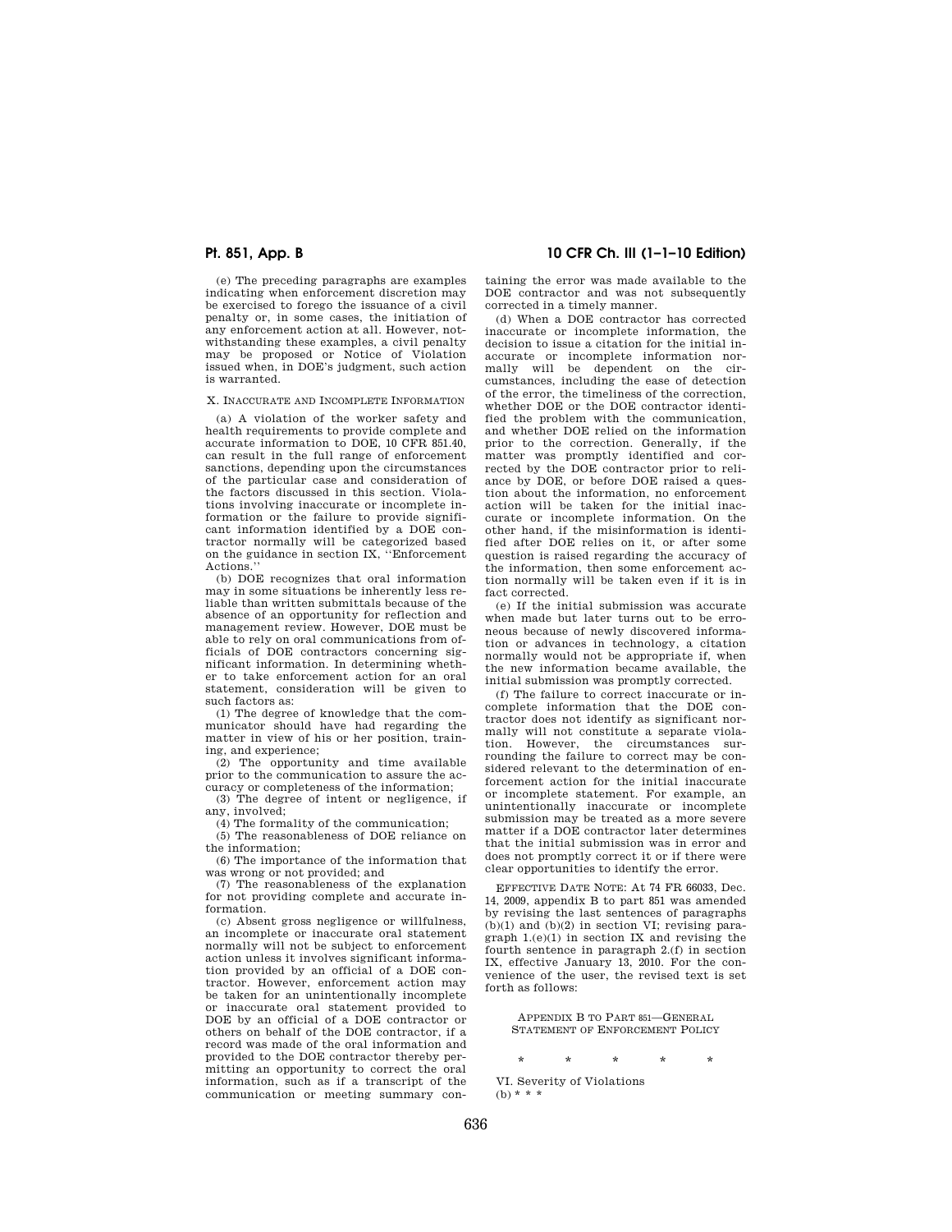(e) The preceding paragraphs are examples indicating when enforcement discretion may be exercised to forego the issuance of a civil penalty or, in some cases, the initiation of any enforcement action at all. However, notwithstanding these examples, a civil penalty may be proposed or Notice of Violation issued when, in DOE's judgment, such action is warranted.

X. INACCURATE AND INCOMPLETE INFORMATION

(a) A violation of the worker safety and health requirements to provide complete and accurate information to DOE, 10 CFR 851.40, can result in the full range of enforcement sanctions, depending upon the circumstances of the particular case and consideration of the factors discussed in this section. Violations involving inaccurate or incomplete information or the failure to provide significant information identified by a DOE contractor normally will be categorized based on the guidance in section IX, ''Enforcement Actions.

(b) DOE recognizes that oral information may in some situations be inherently less reliable than written submittals because of the absence of an opportunity for reflection and management review. However, DOE must be able to rely on oral communications from officials of DOE contractors concerning significant information. In determining whether to take enforcement action for an oral statement, consideration will be given to such factors as:

(1) The degree of knowledge that the communicator should have had regarding the matter in view of his or her position, training, and experience;

(2) The opportunity and time available prior to the communication to assure the accuracy or completeness of the information;

(3) The degree of intent or negligence, if any, involved;

(4) The formality of the communication;

(5) The reasonableness of DOE reliance on the information;

(6) The importance of the information that was wrong or not provided; and

(7) The reasonableness of the explanation for not providing complete and accurate information.

(c) Absent gross negligence or willfulness, an incomplete or inaccurate oral statement normally will not be subject to enforcement action unless it involves significant information provided by an official of a DOE contractor. However, enforcement action may be taken for an unintentionally incomplete or inaccurate oral statement provided to DOE by an official of a DOE contractor or others on behalf of the DOE contractor, if a record was made of the oral information and provided to the DOE contractor thereby permitting an opportunity to correct the oral information, such as if a transcript of the communication or meeting summary con-

**Pt. 851, App. B 10 CFR Ch. III (1–1–10 Edition)** 

taining the error was made available to the DOE contractor and was not subsequently corrected in a timely manner.

(d) When a DOE contractor has corrected inaccurate or incomplete information, the decision to issue a citation for the initial inaccurate or incomplete information normally will be dependent on the circumstances, including the ease of detection of the error, the timeliness of the correction, whether DOE or the DOE contractor identified the problem with the communication, and whether DOE relied on the information prior to the correction. Generally, if the matter was promptly identified and corrected by the DOE contractor prior to reliance by DOE, or before DOE raised a question about the information, no enforcement action will be taken for the initial inaccurate or incomplete information. On the other hand, if the misinformation is identified after DOE relies on it, or after some question is raised regarding the accuracy of the information, then some enforcement action normally will be taken even if it is in fact corrected.

(e) If the initial submission was accurate when made but later turns out to be erroneous because of newly discovered information or advances in technology, a citation normally would not be appropriate if, when the new information became available, the initial submission was promptly corrected.

(f) The failure to correct inaccurate or incomplete information that the DOE contractor does not identify as significant normally will not constitute a separate violation. However, the circumstances surrounding the failure to correct may be considered relevant to the determination of enforcement action for the initial inaccurate or incomplete statement. For example, an unintentionally inaccurate or incomplete submission may be treated as a more severe matter if a DOE contractor later determines that the initial submission was in error and does not promptly correct it or if there were clear opportunities to identify the error.

EFFECTIVE DATE NOTE: At 74 FR 66033, Dec. 14, 2009, appendix B to part 851 was amended by revising the last sentences of paragraphs  $(b)(1)$  and  $(b)(2)$  in section VI; revising paragraph 1.(e)(1) in section IX and revising the fourth sentence in paragraph 2.(f) in section IX, effective January 13, 2010. For the convenience of the user, the revised text is set forth as follows:

APPENDIX B TO PART 851—GENERAL STATEMENT OF ENFORCEMENT POLICY

\* \* \* \* \*

VI. Severity of Violations  $(b) * * *$